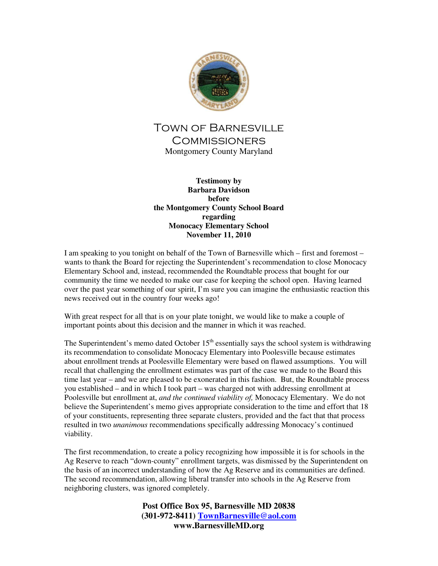

## Town of Barnesville **COMMISSIONERS** Montgomery County Maryland

**Testimony by Barbara Davidson before the Montgomery County School Board regarding Monocacy Elementary School November 11, 2010** 

I am speaking to you tonight on behalf of the Town of Barnesville which – first and foremost – wants to thank the Board for rejecting the Superintendent's recommendation to close Monocacy Elementary School and, instead, recommended the Roundtable process that bought for our community the time we needed to make our case for keeping the school open. Having learned over the past year something of our spirit, I'm sure you can imagine the enthusiastic reaction this news received out in the country four weeks ago!

With great respect for all that is on your plate tonight, we would like to make a couple of important points about this decision and the manner in which it was reached.

The Superintendent's memo dated October  $15<sup>th</sup>$  essentially says the school system is withdrawing its recommendation to consolidate Monocacy Elementary into Poolesville because estimates about enrollment trends at Poolesville Elementary were based on flawed assumptions. You will recall that challenging the enrollment estimates was part of the case we made to the Board this time last year – and we are pleased to be exonerated in this fashion. But, the Roundtable process you established – and in which I took part – was charged not with addressing enrollment at Poolesville but enrollment at, *and the continued viability of,* Monocacy Elementary. We do not believe the Superintendent's memo gives appropriate consideration to the time and effort that 18 of your constituents, representing three separate clusters, provided and the fact that that process resulted in two *unanimous* recommendations specifically addressing Monocacy's continued viability.

The first recommendation, to create a policy recognizing how impossible it is for schools in the Ag Reserve to reach "down-county" enrollment targets, was dismissed by the Superintendent on the basis of an incorrect understanding of how the Ag Reserve and its communities are defined. The second recommendation, allowing liberal transfer into schools in the Ag Reserve from neighboring clusters, was ignored completely.

> **Post Office Box 95, Barnesville MD 20838 (301-972-8411) TownBarnesville@aol.com www.BarnesvilleMD.org**